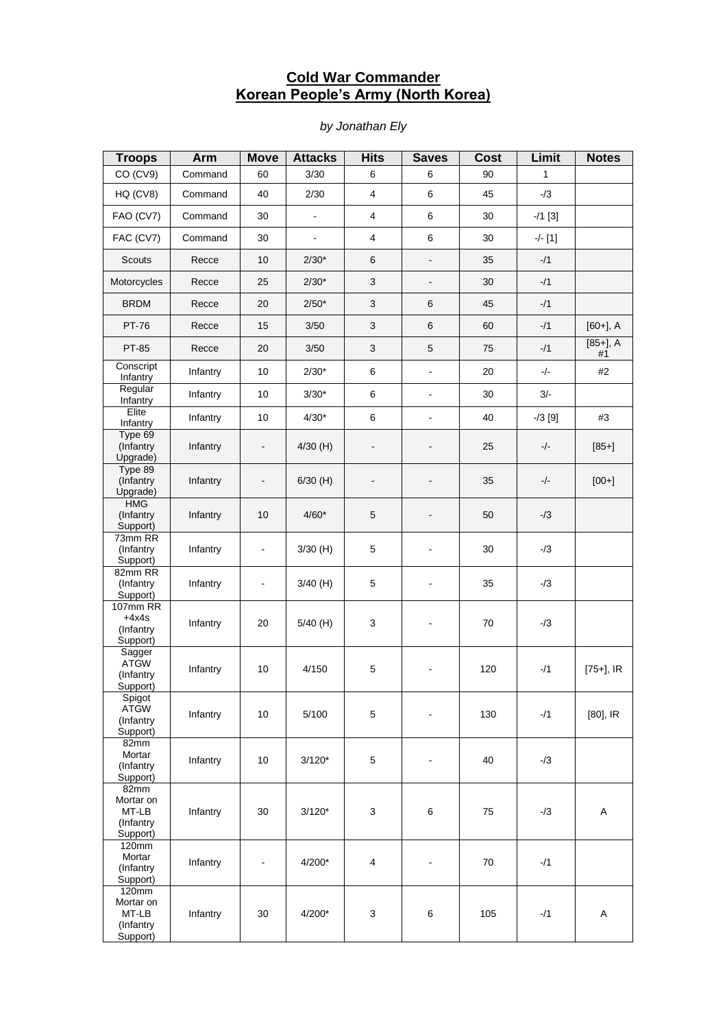# **Cold War Commander**

## **Korean People's Army (North Korea)**

#### **Troops Arm Move Attacks Hits Saves Cost Limit Notes**  $CO (CV9)$  Command 60 3/30 6 6 90 1  $HQ (CV8)$  Command 40 2/30 4 6 45 45 FAO (CV7) Command 30 - 4 6 30 -/1 [3] FAC (CV7) Command 30 - 4 6 30 -  $[1]$ Scouts | Recce | 10 | 2/30\* | 6 | - | 35 | -/1 Motorcycles Recce 25 2/30\* 3 - 30 - 11 BRDM | Recce | 20 | 2/50\* | 3 | 6 | 45 | -/1 PT-76 | Recce | 15 | 3/50 | 3 | 6 | 60 | -/1 | [60+], A PT-85 Recce <sup>20</sup> 3/50 <sup>3</sup> <sup>5</sup> <sup>75</sup> -/1 [85+], A #1 **Conscript** Infantry | Infantry | 10 |  $2/30^*$  | 6 | - | 20 | -/- | #2 Regular Infantry Infantry <sup>10</sup> 3/30\* <sup>6</sup> - <sup>30</sup> 3/- Elite<br>Infantry  $\frac{1}{2}$  Infantry  $\begin{vmatrix} 10 & 4/30^* & 6 \end{vmatrix}$  -  $\begin{vmatrix} 40 & 40 \end{vmatrix}$  -  $\begin{vmatrix} -1/3 & 9 \end{vmatrix}$  +  $\begin{vmatrix} 4/3 & 6 \end{vmatrix}$ Type 69 (Infantry Upgrade) Infantry | - | 4/30 (H) | - | - | 25 | -/- | [85+] Type 89 (Infantry Upgrade) Infantry | - | 6/30 (H) | - | - | 35 | -/- | [00+] **HMG** (Infantry Support) Infantry | 10 | 4/60\* | 5 | - | 50 | -/3 73mm RR (Infantry Support) Infantry  $\begin{vmatrix} - & 3/30 \end{vmatrix}$  5 - 30 - 30 - 31 82mm RR (Infantry Support) Infantry | - | 3/40 (H) | 5 | - | 35 | -/3 107mm RR  $+4x4s$ (Infantry Support) Infantry | 20 | 5/40 (H) | 3 | - | 70 | -/3 Sagger ATGW (Infantry Support) Infantry | 10 | 4/150 | 5 | - | 120 | -/1 | [75+], IR Spigot ATGW (Infantry Support) Infantry | 10 | 5/100 | 5 | - | 130 | -/1 | [80], IR 82mm **Mortar** (Infantry Support) Infantry | 10 | 3/120\* | 5 | - | 40 | -/3 82mm Mortar on MT-LB (Infantry Support) Infantry | 30 | 3/120\* | 3 | 6 | 75 | -/3 | A 120mm Mortar (Infantry Support) Infantry | - | 4/200\* | 4 | - | 70 | -/1 120mm Mortar on MT-LB (Infantry Support) Infantry | 30 | 4/200\* | 3 | 6 | 105 | -/1 | A

#### *by Jonathan Ely*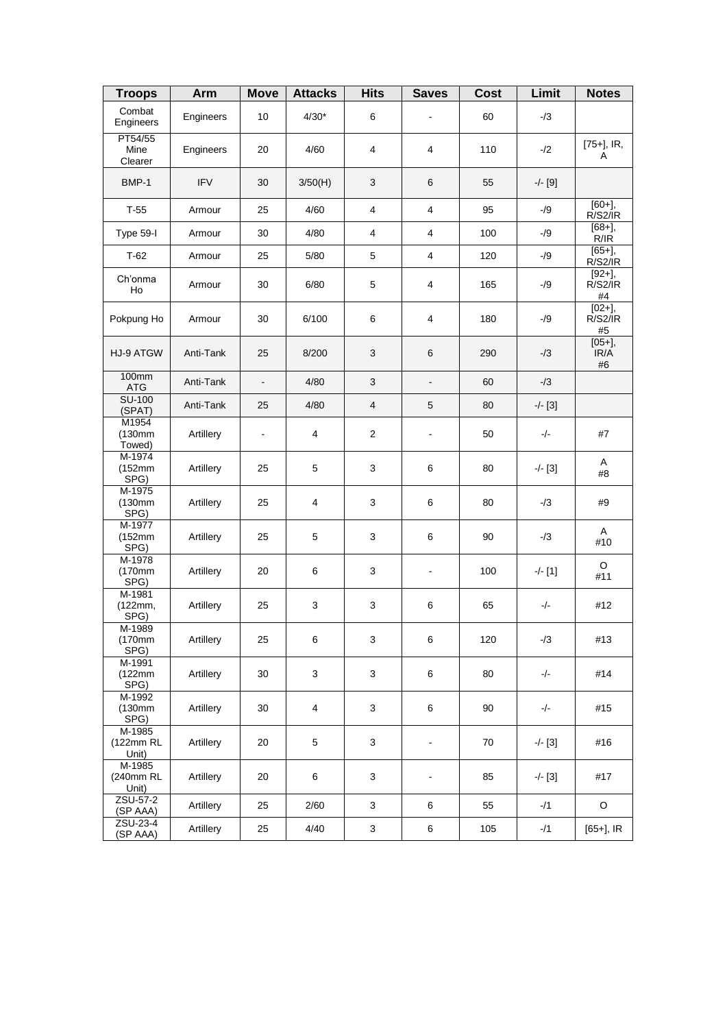| <b>Troops</b>                | Arm        | <b>Move</b>    | <b>Attacks</b> | <b>Hits</b>             | <b>Saves</b>             | <b>Cost</b> | Limit     | <b>Notes</b>               |
|------------------------------|------------|----------------|----------------|-------------------------|--------------------------|-------------|-----------|----------------------------|
| Combat<br>Engineers          | Engineers  | 10             | $4/30*$        | 6                       | $\blacksquare$           | 60          | $-13$     |                            |
| PT54/55<br>Mine<br>Clearer   | Engineers  | 20             | 4/60           | 4                       | 4                        | 110         | $-12$     | $[75+]$ , IR,<br>A         |
| BMP-1                        | <b>IFV</b> | 30             | 3/50(H)        | 3                       | 6                        | 55          | $-/-$ [9] |                            |
| $T-55$                       | Armour     | 25             | 4/60           | $\overline{4}$          | 4                        | 95          | $-19$     | $[60+]$ ,<br>R/S2/IR       |
| Type 59-I                    | Armour     | 30             | 4/80           | 4                       | 4                        | 100         | -/9       | $\overline{[68+]}$<br>R/IR |
| $T-62$                       | Armour     | 25             | 5/80           | 5                       | 4                        | 120         | $-19$     | $[65+]$<br>R/S2/IR         |
| Ch'onma<br>Ho                | Armour     | 30             | 6/80           | 5                       | 4                        | 165         | -/9       | $[92+]$<br>R/S2/IR<br>#4   |
| Pokpung Ho                   | Armour     | 30             | 6/100          | 6                       | 4                        | 180         | -/9       | $[02+]$<br>R/S2/IR<br>#5   |
| HJ-9 ATGW                    | Anti-Tank  | 25             | 8/200          | 3                       | 6                        | 290         | $-13$     | $[05+]$<br>IR/A<br>#6      |
| 100mm<br><b>ATG</b>          | Anti-Tank  | $\Box$         | 4/80           | 3                       | $\overline{\phantom{a}}$ | 60          | $-13$     |                            |
| <b>SU-100</b><br>(SPAT)      | Anti-Tank  | 25             | 4/80           | $\overline{\mathbf{4}}$ | 5                        | 80          | $-/-$ [3] |                            |
| M1954<br>(130mm<br>Towed)    | Artillery  | $\blacksquare$ | 4              | $\boldsymbol{2}$        | $\blacksquare$           | 50          | -/-       | #7                         |
| M-1974<br>(152mm)<br>SPG)    | Artillery  | 25             | 5              | 3                       | 6                        | 80          | $-/-$ [3] | Α<br>#8                    |
| M-1975<br>(130mm<br>SPG)     | Artillery  | 25             | 4              | 3                       | 6                        | 80          | -/3       | #9                         |
| M-1977<br>(152mm)<br>SPG)    | Artillery  | 25             | 5              | 3                       | 6                        | 90          | $-13$     | A<br>#10                   |
| M-1978<br>(170mm<br>SPG)     | Artillery  | 20             | 6              | 3                       | $\blacksquare$           | 100         | -/- [1]   | O<br>#11                   |
| M-1981<br>(122mm,<br>SPG)    | Artillery  | 25             | 3              | 3                       | 6                        | 65          | $-/-$     | #12                        |
| $M-1989$<br>(170mm)<br>SPG)  | Artillery  | 25             | 6              | 3                       | 6                        | 120         | $-13$     | #13                        |
| M-1991<br>(122mm)<br>SPG)    | Artillery  | 30             | 3              | 3                       | 6                        | 80          | $-/-$     | #14                        |
| M-1992<br>(130mm)<br>SPG)    | Artillery  | 30             | 4              | 3                       | 6                        | 90          | $-/-$     | #15                        |
| M-1985<br>(122mm RL<br>Unit) | Artillery  | 20             | 5              | 3                       | $\blacksquare$           | 70          | $-/-$ [3] | #16                        |
| M-1985<br>(240mm RL<br>Unit) | Artillery  | 20             | 6              | 3                       | $\blacksquare$           | 85          | $-/-$ [3] | #17                        |
| ZSU-57-2<br>(SP AAA)         | Artillery  | 25             | 2/60           | 3                       | 6                        | 55          | $-11$     | $\mathsf O$                |
| ZSU-23-4<br>(SP AAA)         | Artillery  | 25             | 4/40           | 3                       | 6                        | 105         | $-11$     | $[65+]$ , IR               |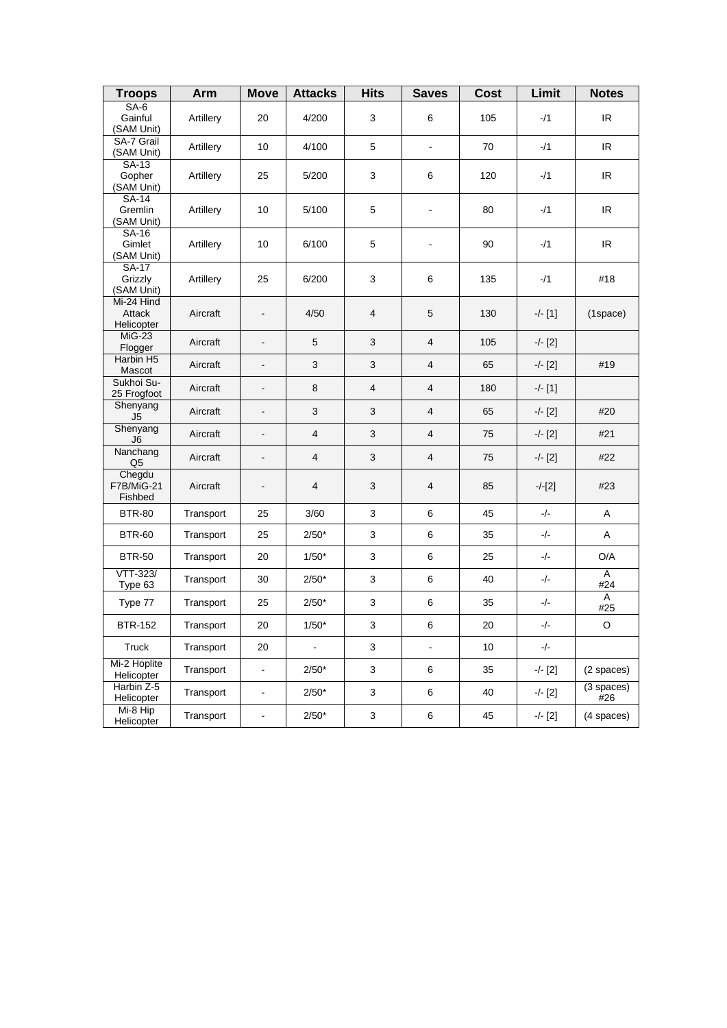| <b>Troops</b>                         | Arm       | <b>Move</b>                  | <b>Attacks</b>          | <b>Hits</b> | <b>Saves</b>            | <b>Cost</b> | Limit     | <b>Notes</b>                      |
|---------------------------------------|-----------|------------------------------|-------------------------|-------------|-------------------------|-------------|-----------|-----------------------------------|
| SA-6<br>Gainful<br>(SAM Unit)         | Artillery | 20                           | 4/200                   | 3           | 6                       | 105         | $-11$     | IR.                               |
| SA-7 Grail<br>(SAM Unit)              | Artillery | 10                           | 4/100                   | 5           | $\blacksquare$          | 70          | $-11$     | IR.                               |
| SA-13<br>Gopher<br>(SAM Unit)         | Artillery | 25                           | 5/200                   | 3           | 6                       | 120         | $-11$     | $\ensuremath{\mathsf{IR}}\xspace$ |
| $SA-14$<br>Gremlin<br>(SAM Unit)      | Artillery | 10                           | 5/100                   | 5           |                         | 80          | $-11$     | IR.                               |
| $SA-16$<br>Gimlet<br>(SAM Unit)       | Artillery | 10                           | 6/100                   | 5           | $\blacksquare$          | 90          | $-11$     | IR                                |
| <b>SA-17</b><br>Grizzly<br>(SAM Unit) | Artillery | 25                           | 6/200                   | 3           | 6                       | 135         | $-11$     | #18                               |
| Mi-24 Hind<br>Attack<br>Helicopter    | Aircraft  | $\overline{\phantom{a}}$     | 4/50                    | 4           | 5                       | 130         | $-/-$ [1] | (1space)                          |
| $MiG-23$<br>Flogger                   | Aircraft  | $\blacksquare$               | 5                       | 3           | $\overline{4}$          | 105         | $-/-$ [2] |                                   |
| Harbin H5<br>Mascot                   | Aircraft  | $\overline{\phantom{a}}$     | 3                       | 3           | 4                       | 65          | $-/- [2]$ | #19                               |
| Sukhoi Su-<br>25 Frogfoot             | Aircraft  | $\overline{\phantom{a}}$     | 8                       | 4           | $\overline{4}$          | 180         | $-/-$ [1] |                                   |
| Shenyang<br>J5                        | Aircraft  | $\blacksquare$               | 3                       | 3           | $\overline{4}$          | 65          | $-/-$ [2] | #20                               |
| Shenyang<br>J6                        | Aircraft  | $\blacksquare$               | $\overline{\mathbf{4}}$ | 3           | $\overline{\mathbf{4}}$ | 75          | $-/- [2]$ | #21                               |
| Nanchang<br>Q <sub>5</sub>            | Aircraft  | $\blacksquare$               | $\overline{4}$          | 3           | $\overline{4}$          | 75          | $-/- [2]$ | #22                               |
| Chegdu<br>F7B/MiG-21<br>Fishbed       | Aircraft  | $\qquad \qquad \blacksquare$ | 4                       | 3           | 4                       | 85          | $-/-[2]$  | #23                               |
| <b>BTR-80</b>                         | Transport | 25                           | 3/60                    | 3           | 6                       | 45          | $-/-$     | A                                 |
| <b>BTR-60</b>                         | Transport | 25                           | $2/50*$                 | 3           | 6                       | 35          | -/-       | Α                                 |
| <b>BTR-50</b>                         | Transport | 20                           | $1/50*$                 | 3           | 6                       | 25          | -/-       | O/A                               |
| VTT-323/<br>Type 63                   | Transport | 30                           | $2/50*$                 | 3           | 6                       | 40          | -/-       | Ā<br>#24                          |
| Type 77                               | Transport | 25                           | $2/50*$                 | 3           | 6                       | 35          | -/-       | A<br>#25                          |
| <b>BTR-152</b>                        | Transport | 20                           | $1/50*$                 | 3           | 6                       | 20          | -/-       | $\mathsf O$                       |
| Truck                                 | Transport | 20                           | $\Box$                  | 3           | $\blacksquare$          | 10          | $-/-$     |                                   |
| Mi-2 Hoplite<br>Helicopter            | Transport | $\blacksquare$               | $2/50*$                 | 3           | 6                       | 35          | $-/- [2]$ | (2 spaces)                        |
| Harbin Z-5<br>Helicopter              | Transport | $\blacksquare$               | $2/50*$                 | 3           | 6                       | 40          | $-/- [2]$ | (3 spaces)<br>#26                 |
| Mi-8 Hip<br>Helicopter                | Transport | $\blacksquare$               | $2/50*$                 | 3           | 6                       | 45          | $-/-$ [2] | (4 spaces)                        |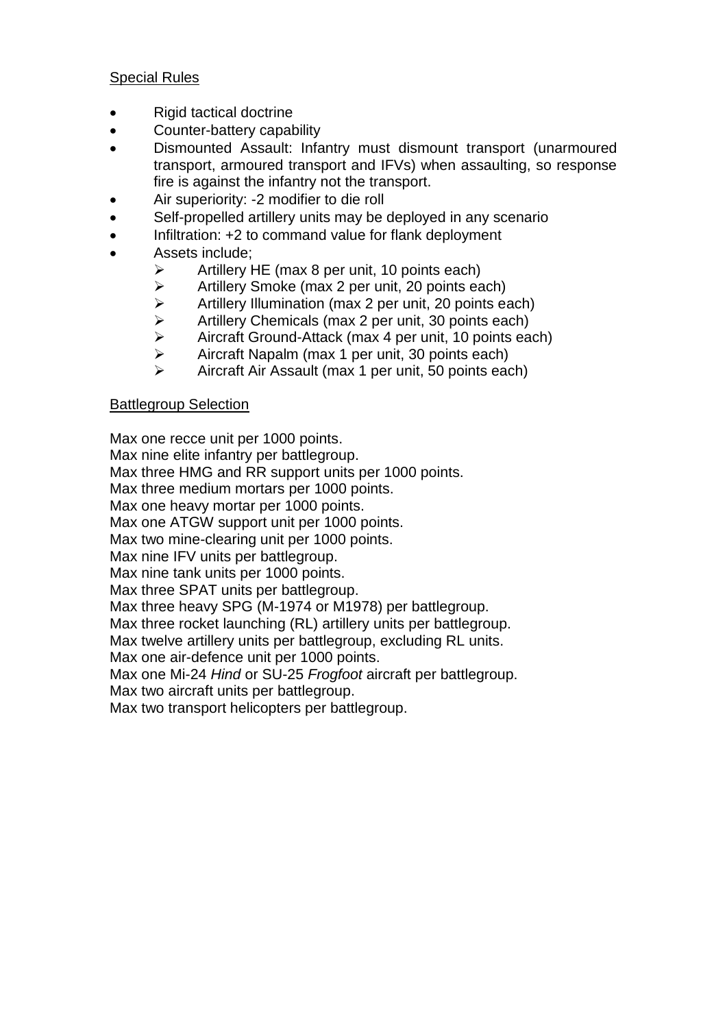## Special Rules

- Rigid tactical doctrine
- Counter-battery capability
- Dismounted Assault: Infantry must dismount transport (unarmoured transport, armoured transport and IFVs) when assaulting, so response fire is against the infantry not the transport.
- Air superiority: -2 modifier to die roll
- Self-propelled artillery units may be deployed in any scenario
- Infiltration: +2 to command value for flank deployment
- Assets include;
	- $\triangleright$  Artillery HE (max 8 per unit, 10 points each)
	- $\triangleright$  Artillery Smoke (max 2 per unit, 20 points each)
	- $\triangleright$  Artillery Illumination (max 2 per unit, 20 points each)
	- $\triangleright$  Artillery Chemicals (max 2 per unit, 30 points each)
	- Aircraft Ground-Attack (max 4 per unit, 10 points each)
	- $\triangleright$  Aircraft Napalm (max 1 per unit, 30 points each)
	- $\triangleright$  Aircraft Air Assault (max 1 per unit, 50 points each)

## Battlegroup Selection

Max one recce unit per 1000 points.

Max nine elite infantry per battlegroup.

Max three HMG and RR support units per 1000 points.

Max three medium mortars per 1000 points.

Max one heavy mortar per 1000 points.

Max one ATGW support unit per 1000 points.

Max two mine-clearing unit per 1000 points.

Max nine IFV units per battlegroup.

Max nine tank units per 1000 points.

Max three SPAT units per battlegroup.

Max three heavy SPG (M-1974 or M1978) per battlegroup.

Max three rocket launching (RL) artillery units per battlegroup.

Max twelve artillery units per battlegroup, excluding RL units.

Max one air-defence unit per 1000 points.

Max one Mi-24 *Hind* or SU-25 *Frogfoot* aircraft per battlegroup.

Max two aircraft units per battlegroup.

Max two transport helicopters per battlegroup.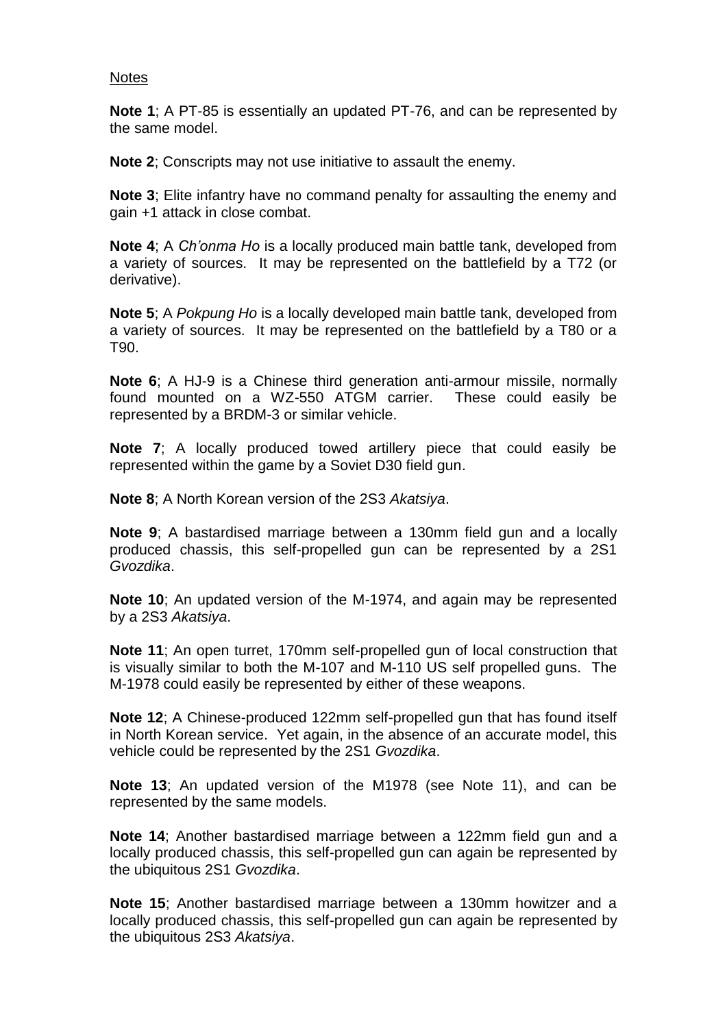### **Notes**

**Note 1**; A PT-85 is essentially an updated PT-76, and can be represented by the same model.

**Note 2**; Conscripts may not use initiative to assault the enemy.

**Note 3**; Elite infantry have no command penalty for assaulting the enemy and gain +1 attack in close combat.

**Note 4**; A *Ch'onma Ho* is a locally produced main battle tank, developed from a variety of sources. It may be represented on the battlefield by a T72 (or derivative).

**Note 5**; A *Pokpung Ho* is a locally developed main battle tank, developed from a variety of sources. It may be represented on the battlefield by a T80 or a T90.

**Note 6**; A HJ-9 is a Chinese third generation anti-armour missile, normally found mounted on a WZ-550 ATGM carrier. These could easily be represented by a BRDM-3 or similar vehicle.

**Note 7**; A locally produced towed artillery piece that could easily be represented within the game by a Soviet D30 field gun.

**Note 8**; A North Korean version of the 2S3 *Akatsiya*.

**Note 9:** A bastardised marriage between a 130mm field gun and a locally produced chassis, this self-propelled gun can be represented by a 2S1 *Gvozdika*.

**Note 10**; An updated version of the M-1974, and again may be represented by a 2S3 *Akatsiya*.

**Note 11**; An open turret, 170mm self-propelled gun of local construction that is visually similar to both the M-107 and M-110 US self propelled guns. The M-1978 could easily be represented by either of these weapons.

**Note 12**; A Chinese-produced 122mm self-propelled gun that has found itself in North Korean service. Yet again, in the absence of an accurate model, this vehicle could be represented by the 2S1 *Gvozdika*.

**Note 13**; An updated version of the M1978 (see Note 11), and can be represented by the same models.

**Note 14**; Another bastardised marriage between a 122mm field gun and a locally produced chassis, this self-propelled gun can again be represented by the ubiquitous 2S1 *Gvozdika*.

**Note 15**; Another bastardised marriage between a 130mm howitzer and a locally produced chassis, this self-propelled gun can again be represented by the ubiquitous 2S3 *Akatsiya*.